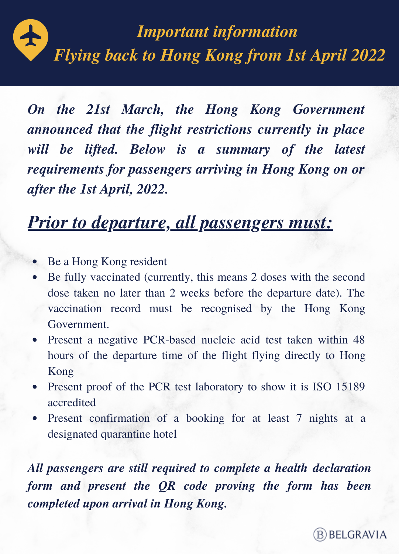

*On the 21st March, the Hong Kong Government announced that the flight restrictions currently in place will be lifted. Below is a summary of the latest requirements for passengers arriving in Hong Kong on or after the 1st April, 2022.*

# *Prior to departure, all passengers must:*

- Be a Hong Kong resident
- Be fully vaccinated (currently, this means 2 doses with the second dose taken no later than 2 weeks before the departure date). The vaccination record must be recognised by the Hong Kong Government.
- Present a negative PCR-based nucleic acid test taken within 48 hours of the departure time of the flight flying directly to Hong Kong
- Present proof of the PCR test laboratory to show it is ISO 15189 accredited
- Present confirmation of a booking for at least 7 nights at a designated quarantine hotel

*All passengers are still required to complete a health [declaration](https://www.chp.gov.hk/hdf/) form and present the QR code proving the form has been completed upon arrival in Hong Kong.*

**B** BELGRAVIA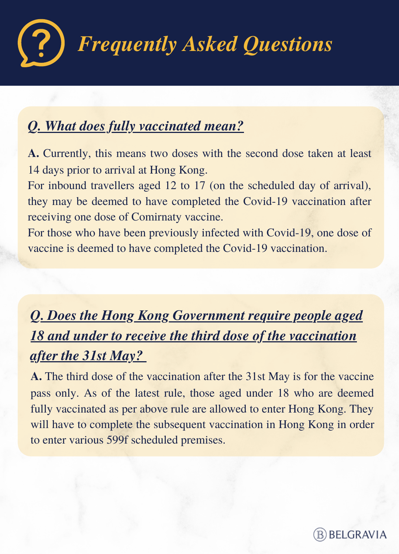

#### *Q. What does fully vaccinated mean?*

**A.** Currently, this means two doses with the second dose taken at least 14 days prior to arrival at Hong Kong.

For inbound travellers aged 12 to 17 (on the scheduled day of arrival), they may be deemed to have completed the Covid-19 vaccination after receiving one dose of Comirnaty vaccine.

For those who have been previously infected with Covid-19, one dose of vaccine is deemed to have completed the Covid-19 vaccination.

### *Q. Does the Hong Kong Government require people aged 18 and under to receive the third dose of the vaccination after the 31st May?*

**A.** The third dose of the vaccination after the 31st May is for the vaccine pass only. As of the latest rule, those aged under 18 who are deemed fully vaccinated as per above rule are allowed to enter Hong Kong. They will have to complete the subsequent vaccination in Hong Kong in order to enter various 599f scheduled premises.

**B** BELGRAVIA